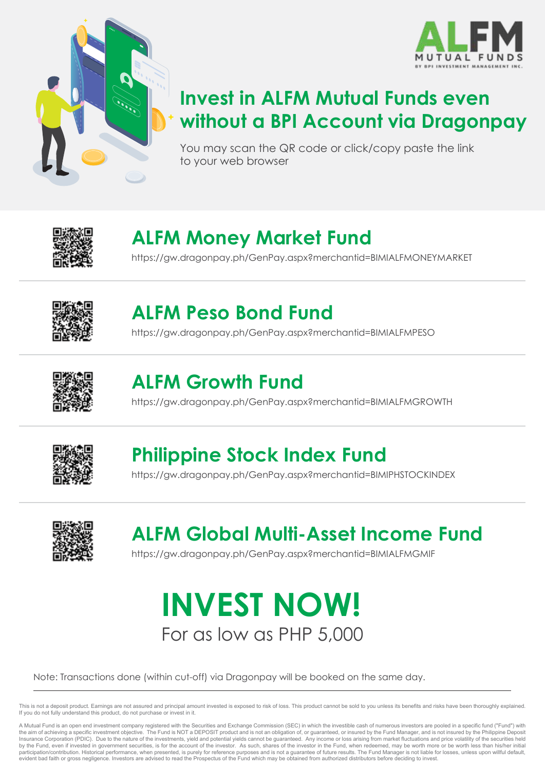



#### **Invest in ALFM Mutual Funds even without a BPI Account via Dragonpay**

You may scan the QR code or click/copy paste the link to your web browser



## **ALFM Money Market Fund**

https://gw.dragonpay.ph/GenPay.aspx?merchantid=BIMIALFMONEYMARKET



#### **ALFM Peso Bond Fund**

https://gw.dragonpay.ph/GenPay.aspx?merchantid=BIMIALFMPESO



#### **ALFM Growth Fund**

https://gw.dragonpay.ph/GenPay.aspx?merchantid=BIMIALFMGROWTH



#### **Philippine Stock Index Fund**

https://gw.dragonpay.ph/GenPay.aspx?merchantid=BIMIPHSTOCKINDEX



# **ALFM Global Multi-Asset Income Fund**

https://gw.dragonpay.ph/GenPay.aspx?merchantid=BIMIALFMGMIF

# For as low as PHP 5,000 **INVEST NOW!**

Note: Transactions done (within cut-off) via Dragonpay will be booked on the same day.

This is not a deposit product. Earnings are not assured and principal amount invested is exposed to risk of loss. This product cannot be sold to you unless its benefits and risks have been thoroughly explained. If you do not fully understand this product, do not purchase or invest in it.

A Mutual Fund is an open end investment company registered with the Securities and Exchange Commission (SEC) in which the investible cash of numerous investors are pooled in a specific fund ("Fund") with the aim of achieving a specific investment objective. The Fund is NOT a DEPOSIT product and is not an obligation of, or guaranteed, or insured by the Fund Manager, and is not insured by the Philippine Deposity Insurance Corporation (PDIC). Due to the nature of the investments, yield and potential yields cannot be guaranteed. Any income or loss arising from market fluctuations and price volatility of the securities held by the Fund, even if invested in government securities, is for the account of the investor. As such, shares of the investor in the Fund, when redeemed, may be worth more or be worth less than his/her initial<br>participation/ evident bad faith or gross negligence. Investors are advised to read the Prospectus of the Fund which may be obtained from authorized distributors before deciding to invest.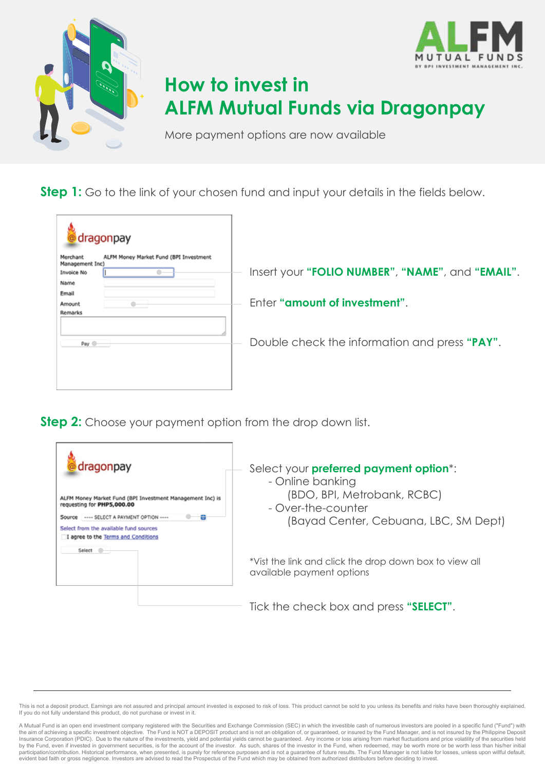



More payment options are now available

**Step 1:** Go to the link of your chosen fund and input your details in the fields below.

| dragonpay                                                                                   |                                                  |
|---------------------------------------------------------------------------------------------|--------------------------------------------------|
| ALFM Money Market Fund (BPI Investment<br>Merchant<br>Management Inc)<br>Invoice No<br>Name | Insert your "FOLIO NUMBER", "NAME", and "EMAIL". |
| Email<br>Amount<br>Remarks                                                                  | Enter "amount of investment".                    |
| Pay <sup>.</sup>                                                                            | Double check the information and press "PAY".    |
|                                                                                             |                                                  |

**Step 2:** Choose your payment option from the drop down list.



This is not a deposit product. Earnings are not assured and principal amount invested is exposed to risk of loss. This product cannot be sold to you unless its benefits and risks have been thoroughly explained. If you do not fully understand this product, do not purchase or invest in it.

A Mutual Fund is an open end investment company registered with the Securities and Exchange Commission (SEC) in which the investible cash of numerous investors are pooled in a specific fund ("Fund") with<br>the aim of achievi Insurance Corporation (PDIC). Due to the nature of the investments, yield and potential yields cannot be guaranteed. Any income or loss arising from market fluctuations and price volatility of the securities held by the Fund, even if invested in government securities, is for the account of the investor. As such, shares of the investor in the Fund, when redeemed, may be worth more or be worth less than his/her initial<br>participation/ evident bad faith or gross negligence. Investors are advised to read the Prospectus of the Fund which may be obtained from authorized distributors before deciding to invest.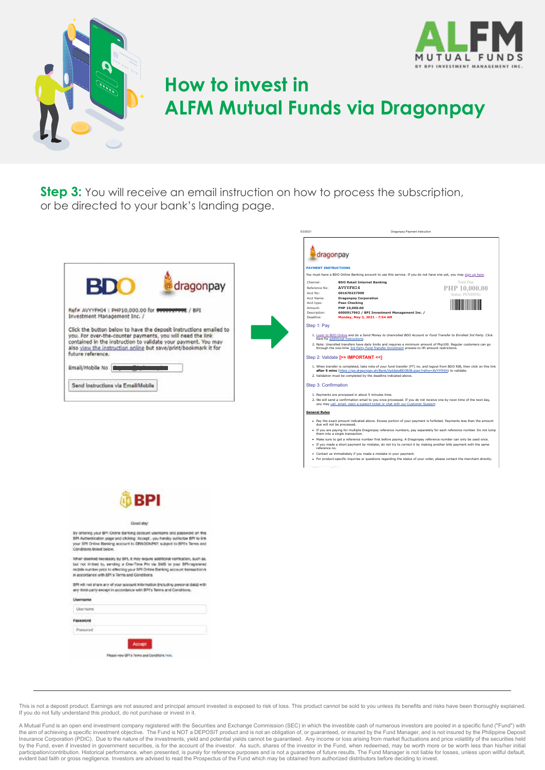



**Step 3:** You will receive an email instruction on how to process the subscription, or be directed to your bank's landing page.





**BPI** Good day By orienna your BPI Crisne Barking secount upertaine and passw By ontering your BPI Cinine Barking occount username and pateleoid on t<br>BPI Autherstadtor page and clicking Jeckept, you hendly subticite BPI to it<br>your BPI Ortine Benierg account to DRAGONPRY, subject to BPI's Terms a<br>Con When desensid necessary by BFL it may require additional vertication, such root interaction<br>but root initiate to, werding a Che-Time Pin via SMS to your IIPF-regie<br>mobile number prior to effecting your BFI Online Banking a

BPI will not share any of your account information (including personal data) with<br>any third-party except in accordance with BPTs Terms and Conditions.

| Lliarrastes     |        |  |
|-----------------|--------|--|
|                 |        |  |
| T of<br>arcasti |        |  |
|                 | Accept |  |
|                 |        |  |

This is not a deposit product. Earnings are not assured and principal amount invested is exposed to risk of loss. This product cannot be sold to you unless its benefits and risks have been thoroughly explained. If you do not fully understand this product, do not purchase or invest in it.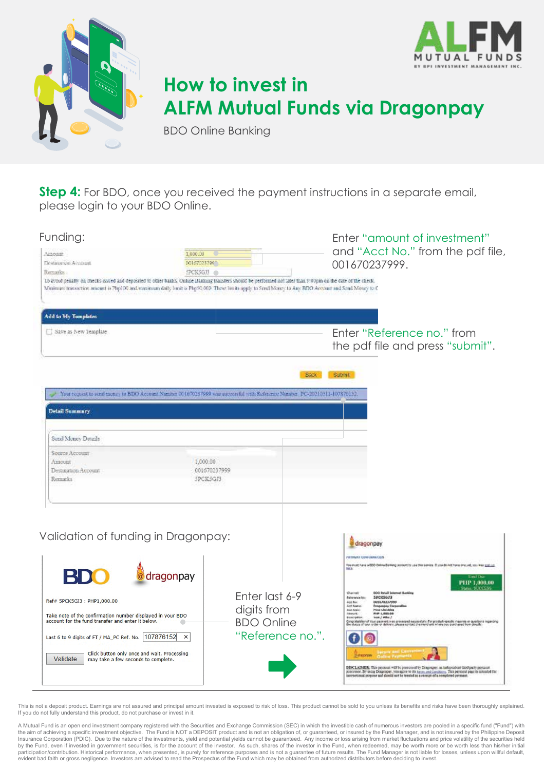



BDO Online Banking

**Step 4:** For BDO, once you received the payment instructions in a separate email, please login to your BDO Online.

| Funding:                                                                                                                                                                                                                                                                                                            |                                      |                                                                                                                                  | Enter "amount of investment"                                                                                                                                                                                                                                                                                                                                                                                                                                                                                                                                                                                                                                                                                                                                                                    |
|---------------------------------------------------------------------------------------------------------------------------------------------------------------------------------------------------------------------------------------------------------------------------------------------------------------------|--------------------------------------|----------------------------------------------------------------------------------------------------------------------------------|-------------------------------------------------------------------------------------------------------------------------------------------------------------------------------------------------------------------------------------------------------------------------------------------------------------------------------------------------------------------------------------------------------------------------------------------------------------------------------------------------------------------------------------------------------------------------------------------------------------------------------------------------------------------------------------------------------------------------------------------------------------------------------------------------|
| Ainouir<br>Destination Account<br>Remarks:                                                                                                                                                                                                                                                                          | 1,000.00<br>00167023700<br>SPCK5GJ3  |                                                                                                                                  | and "Acct No." from the pdf file,<br>001670237999.                                                                                                                                                                                                                                                                                                                                                                                                                                                                                                                                                                                                                                                                                                                                              |
| To avoid penalty on thecks issued and deposited to other banks, Online Banking transfers should be performed not later than 9:00pm on the date of the check.<br>Morinaes transaction amount is Php100 and maximum daily lemit is Php50,000. These limits apply to Send Money to Any BDO Account and Send Money to C |                                      |                                                                                                                                  |                                                                                                                                                                                                                                                                                                                                                                                                                                                                                                                                                                                                                                                                                                                                                                                                 |
| Add to My Tamplates                                                                                                                                                                                                                                                                                                 |                                      |                                                                                                                                  |                                                                                                                                                                                                                                                                                                                                                                                                                                                                                                                                                                                                                                                                                                                                                                                                 |
| Save as New Template                                                                                                                                                                                                                                                                                                |                                      |                                                                                                                                  | Enter "Reference no." from<br>the pdf file and press "submit".                                                                                                                                                                                                                                                                                                                                                                                                                                                                                                                                                                                                                                                                                                                                  |
|                                                                                                                                                                                                                                                                                                                     |                                      | Back<br>You request to soud money to BDO Account Number 001670237999 was successful with Reference Number PC-20210311-107876152. | Submit                                                                                                                                                                                                                                                                                                                                                                                                                                                                                                                                                                                                                                                                                                                                                                                          |
| <b>Detail Summary</b>                                                                                                                                                                                                                                                                                               |                                      |                                                                                                                                  |                                                                                                                                                                                                                                                                                                                                                                                                                                                                                                                                                                                                                                                                                                                                                                                                 |
| Send Money Details                                                                                                                                                                                                                                                                                                  |                                      |                                                                                                                                  |                                                                                                                                                                                                                                                                                                                                                                                                                                                                                                                                                                                                                                                                                                                                                                                                 |
| Source Account<br>Amount<br>Destination Account<br>Remarks                                                                                                                                                                                                                                                          | 1,000.00<br>001670237999<br>SPCKSGJ3 |                                                                                                                                  |                                                                                                                                                                                                                                                                                                                                                                                                                                                                                                                                                                                                                                                                                                                                                                                                 |
| Validation of funding in Dragonpay:<br>RI                                                                                                                                                                                                                                                                           | @ dragonpay                          |                                                                                                                                  | dragonpay<br>PATRIMY CORP SERVICES<br>.<br>Note that have a DDD Online Banking pulsure to use the aervies. If you do not have one yet, you was <u>man us</u><br>Note                                                                                                                                                                                                                                                                                                                                                                                                                                                                                                                                                                                                                            |
| Ref# 5PCK5GJ3: PHP1,000.00<br>Take note of the confirmation number displayed in your BDO<br>account for the fund transfer and enter it below.<br>Last 6 to 9 digits of FT / MA_PC Ref. No.<br>107876152<br>Click button only once and wait. Processing<br>Validate<br>may take a few seconds to complete.           | ×                                    | Enter last 6-9<br>digits from<br><b>BDO Online</b><br>"Reference no.".                                                           | PHP 1,000.00<br><b>BOG Retail Into</b><br>Overvels<br>SPCK5073<br><b>Balanshot No.</b><br>001678337999<br>April Rev.<br>Sat Kana<br>spáy Čía<br><b>AGA funds</b><br><b>Pina Checkles</b><br><b>PIAR 1,000,00</b><br><b>Ideount</b><br>Emergela<br><b>TEN / Mike /</b><br>Congriduational Your pieceset was processed explosively. For product-specific masses or quartises inspecifies<br>The Masse of your sciller or definers, phones serving the ment and interesting averageed from threatis.<br>DISCLADIER: This permum will be processed by Dragonpey, an independent third party permeat<br>processor. By taking Demonster, you agree to do no no in Contabing. This permont page is intended for<br>increasional perpose and should not be treated as a receipt of a completed permant. |

This is not a deposit product. Earnings are not assured and principal amount invested is exposed to risk of loss. This product cannot be sold to you unless its benefits and risks have been thoroughly explained. If you do not fully understand this product, do not purchase or invest in it.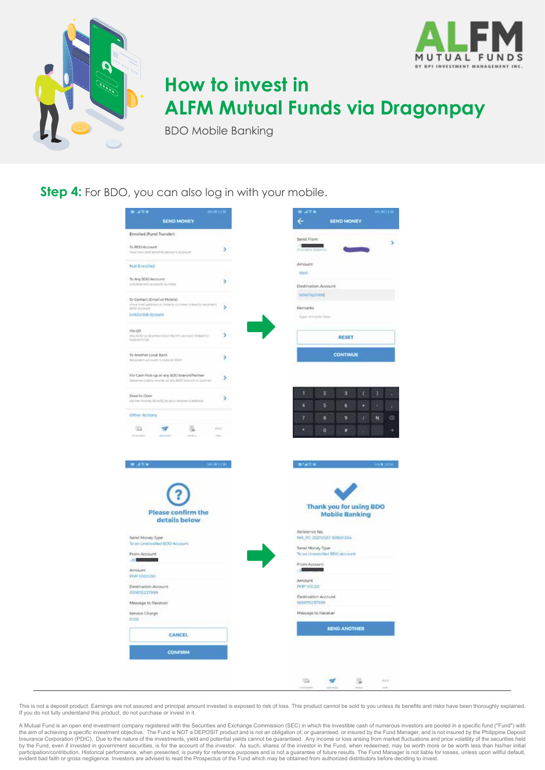



BDO Mobile Banking

**Step 4:** For BDO, you can also log in with your mobile.

| a utu                                                                                               | вующ              |
|-----------------------------------------------------------------------------------------------------|-------------------|
| SEND MONEY                                                                                          |                   |
| Enrolled (Fund Transfer)                                                                            |                   |
| To BEIO Account                                                                                     | y.                |
| tour yours and another permits acousts                                                              |                   |
| Not Enrolled                                                                                        |                   |
| To Any BDO Account                                                                                  |                   |
| STATISTICS INTO ALCOHOL: A 1970 NA                                                                  | s                 |
| To Contact (Email or Mobile)                                                                        |                   |
| this e-must autorisse on melesta re-<br>(industrial interaction)<br>BERTH CORP.                     | s                 |
| <b>Littlehold Acoust</b>                                                                            |                   |
| Via Oli                                                                                             |                   |
| Any ROC or Arantee-Local Bank's excess to beleast to:<br>toraine's Q&                               | ъ.                |
|                                                                                                     |                   |
| To Another Local Bank<br><b>Recipients advised to resume \$550</b>                                  | Þ.                |
|                                                                                                     |                   |
| For Cash Pick up at any BDD Branch Pertner<br>Reserve Califo Hyunda at any 1920 bearsty as partner. | s.                |
| Door to Door                                                                                        |                   |
| Deliver recover (\$1410) to your version is addition.                                               | ъ.                |
| Other Actions                                                                                       | ۰                 |
| 担<br><b>ID</b><br>w                                                                                 | $1 - 1 = 1$       |
|                                                                                                     |                   |
|                                                                                                     |                   |
|                                                                                                     |                   |
| 8,439                                                                                               | <b>SIVE DOCUM</b> |
|                                                                                                     |                   |
|                                                                                                     |                   |
|                                                                                                     |                   |
| Please confirm the                                                                                  |                   |
| details below                                                                                       |                   |
|                                                                                                     |                   |
| Send Money Type<br>Ta an Universited BOO Account                                                    |                   |
| From Account                                                                                        |                   |
| 45,000                                                                                              |                   |
| Amount                                                                                              |                   |
| PHP 1,00/10/2                                                                                       |                   |
| Destination Account<br>009670137999                                                                 |                   |
| Massage to Receiver                                                                                 |                   |
| Service Charge                                                                                      |                   |
| 0.09                                                                                                |                   |
| <b>CANCEL</b>                                                                                       |                   |
|                                                                                                     |                   |
| CONFIRM                                                                                             |                   |
|                                                                                                     |                   |
|                                                                                                     |                   |
|                                                                                                     |                   |

This is not a deposit product. Earnings are not assured and principal amount invested is exposed to risk of loss. This product cannot be sold to you unless its benefits and risks have been thoroughly explained. If you do not fully understand this product, do not purchase or invest in it.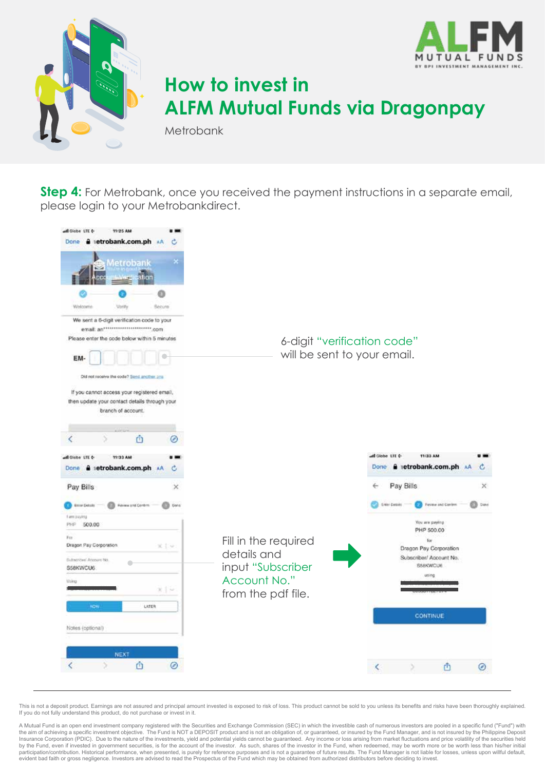



Metrobank

**Step 4:** For Metrobank, once you received the payment instructions in a separate email, please login to your Metrobankdirect.



This is not a deposit product. Earnings are not assured and principal amount invested is exposed to risk of loss. This product cannot be sold to you unless its benefits and risks have been thoroughly explained. If you do not fully understand this product, do not purchase or invest in it.

A Mutual Fund is an open end investment company registered with the Securities and Exchange Commission (SEC) in which the investible cash of numerous investors are pooled in a specific fund ("Fund") with<br>the aim of achievi Insurance Corporation (PDIC). Due to the nature of the investments, yield and potential yields cannot be guaranteed. Any income or loss arising from market fluctuations and price volatility of the securities held by the Fund, even if invested in government securities, is for the account of the investor. As such, shares of the investor in the Fund, when redeemed, may be worth more or be worth less than his/her initial<br>participation/ evident bad faith or gross negligence. Investors are advised to read the Prospectus of the Fund which may be obtained from authorized distributors before deciding to invest.